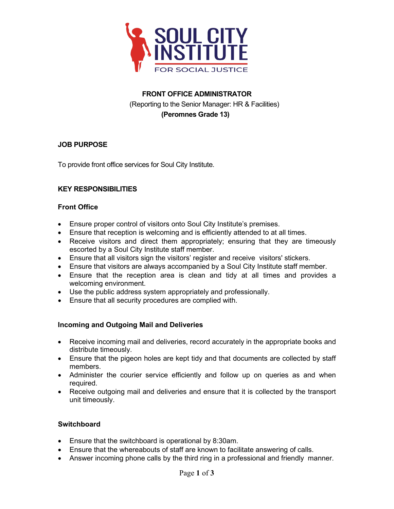

# **FRONT OFFICE ADMINISTRATOR** (Reporting to the Senior Manager: HR & Facilities)  **(Peromnes Grade 13)**

# **JOB PURPOSE**

To provide front office services for Soul City Institute.

# **KEY RESPONSIBILITIES**

#### **Front Office**

- Ensure proper control of visitors onto Soul City Institute's premises.
- Ensure that reception is welcoming and is efficiently attended to at all times.
- Receive visitors and direct them appropriately; ensuring that they are timeously escorted by a Soul City Institute staff member.
- Ensure that all visitors sign the visitors' register and receive visitors' stickers.
- Ensure that visitors are always accompanied by a Soul City Institute staff member.
- Ensure that the reception area is clean and tidy at all times and provides a welcoming environment.
- Use the public address system appropriately and professionally.
- Ensure that all security procedures are complied with.

# **Incoming and Outgoing Mail and Deliveries**

- Receive incoming mail and deliveries, record accurately in the appropriate books and distribute timeously.
- Ensure that the pigeon holes are kept tidy and that documents are collected by staff members.
- Administer the courier service efficiently and follow up on queries as and when required.
- Receive outgoing mail and deliveries and ensure that it is collected by the transport unit timeously.

# **Switchboard**

- Ensure that the switchboard is operational by 8:30am.
- Ensure that the whereabouts of staff are known to facilitate answering of calls.
- Answer incoming phone calls by the third ring in a professional and friendly manner.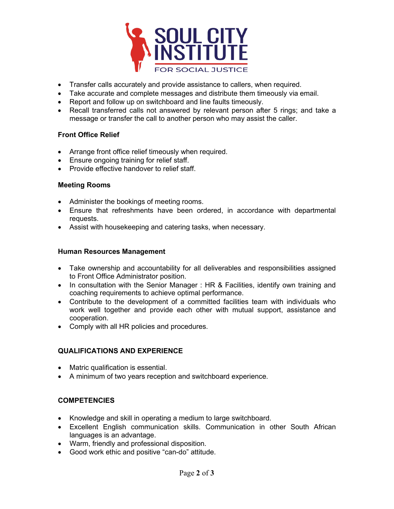

- Transfer calls accurately and provide assistance to callers, when required.
- Take accurate and complete messages and distribute them timeously via email.
- Report and follow up on switchboard and line faults timeously.
- Recall transferred calls not answered by relevant person after 5 rings; and take a message or transfer the call to another person who may assist the caller.

#### **Front Office Relief**

- Arrange front office relief timeously when required.
- Ensure ongoing training for relief staff.
- Provide effective handover to relief staff.

#### **Meeting Rooms**

- Administer the bookings of meeting rooms.
- Ensure that refreshments have been ordered, in accordance with departmental requests.
- Assist with housekeeping and catering tasks, when necessary.

#### **Human Resources Management**

- Take ownership and accountability for all deliverables and responsibilities assigned to Front Office Administrator position.
- In consultation with the Senior Manager : HR & Facilities, identify own training and coaching requirements to achieve optimal performance.
- Contribute to the development of a committed facilities team with individuals who work well together and provide each other with mutual support, assistance and cooperation.
- Comply with all HR policies and procedures.

# **QUALIFICATIONS AND EXPERIENCE**

- Matric qualification is essential.
- A minimum of two years reception and switchboard experience.

# **COMPETENCIES**

- Knowledge and skill in operating a medium to large switchboard.
- Excellent English communication skills. Communication in other South African languages is an advantage.
- Warm, friendly and professional disposition.
- Good work ethic and positive "can-do" attitude.